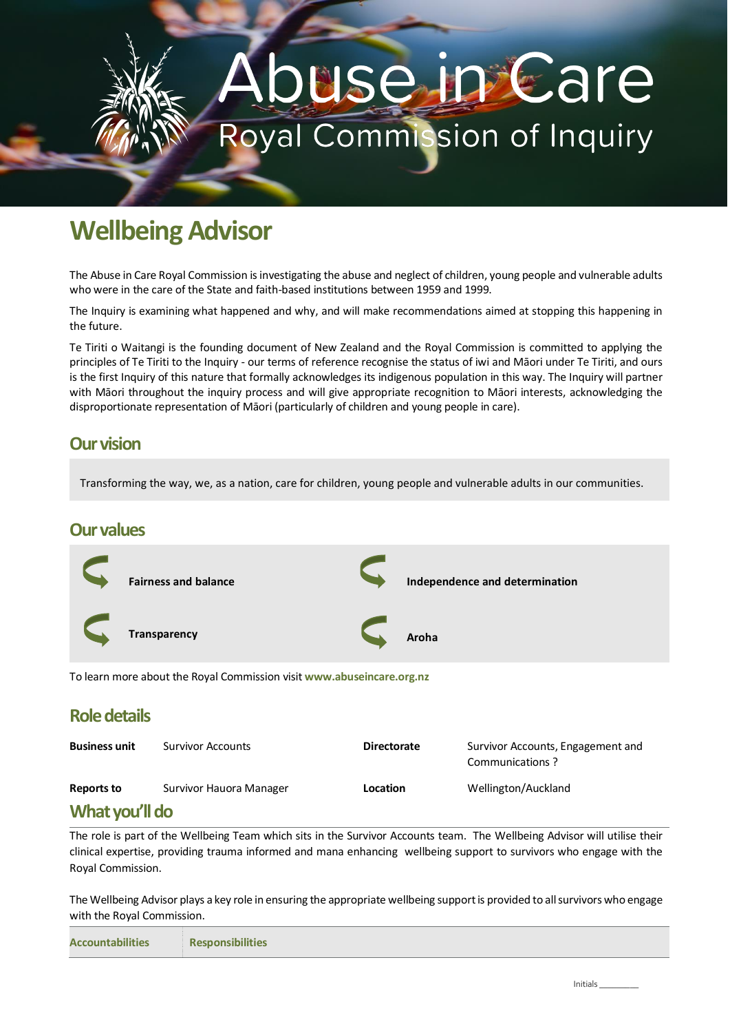# use in Care **Royal Commission of Inquiry**

# **Wellbeing Advisor**

The Abuse in Care Royal Commission is investigating the abuse and neglect of children, young people and vulnerable adults who were in the care of the State and faith-based institutions between 1959 and 1999.

The Inquiry is examining what happened and why, and will make recommendations aimed at stopping this happening in the future.

Te Tiriti o Waitangi is the founding document of New Zealand and the Royal Commission is committed to applying the principles of Te Tiriti to the Inquiry - our terms of reference recognise the status of iwi and Māori under Te Tiriti, and ours is the first Inquiry of this nature that formally acknowledges its indigenous population in this way. The Inquiry will partner with Māori throughout the inquiry process and will give appropriate recognition to Māori interests, acknowledging the disproportionate representation of Māori (particularly of children and young people in care).

#### **Our vision**

Transforming the way, we, as a nation, care for children, young people and vulnerable adults in our communities.

#### **Our values**



#### **Role details**

| <b>Business unit</b> | <b>Survivor Accounts</b> | <b>Directorate</b> | Survivor Accounts, Engagement and<br>Communications? |  |  |  |
|----------------------|--------------------------|--------------------|------------------------------------------------------|--|--|--|
| Reports to           | Survivor Hauora Manager  | Location           | Wellington/Auckland                                  |  |  |  |
| What you'll do       |                          |                    |                                                      |  |  |  |

#### **What you'll do**

The role is part of the Wellbeing Team which sits in the Survivor Accounts team. The Wellbeing Advisor will utilise their clinical expertise, providing trauma informed and mana enhancing wellbeing support to survivors who engage with the Royal Commission.

The Wellbeing Advisor plays a key role in ensuring the appropriate wellbeing support is provided to all survivors who engage with the Royal Commission.

| <b>Accountabilities</b> | Responsibilities |
|-------------------------|------------------|
|-------------------------|------------------|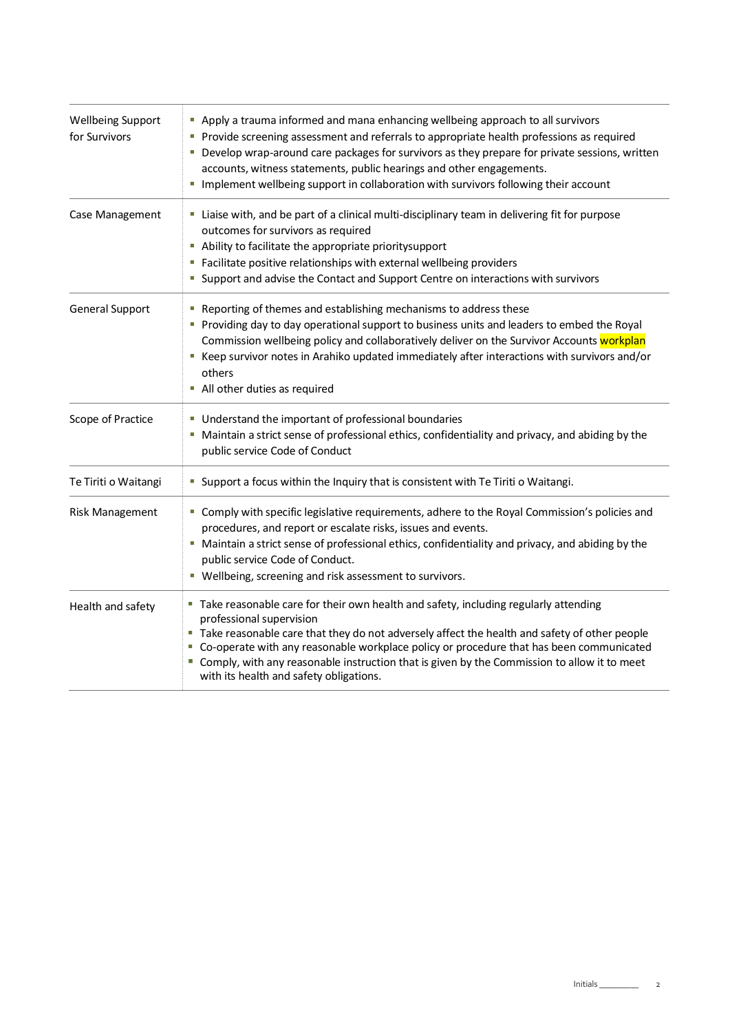| <b>Wellbeing Support</b><br>for Survivors | Apply a trauma informed and mana enhancing wellbeing approach to all survivors<br>Provide screening assessment and referrals to appropriate health professions as required<br>Develop wrap-around care packages for survivors as they prepare for private sessions, written<br>accounts, witness statements, public hearings and other engagements.<br>Implement wellbeing support in collaboration with survivors following their account<br>$\mathcal{L}_{\mathcal{A}}$ |  |  |
|-------------------------------------------|---------------------------------------------------------------------------------------------------------------------------------------------------------------------------------------------------------------------------------------------------------------------------------------------------------------------------------------------------------------------------------------------------------------------------------------------------------------------------|--|--|
| Case Management                           | " Liaise with, and be part of a clinical multi-disciplinary team in delivering fit for purpose<br>outcomes for survivors as required<br>Ability to facilitate the appropriate prioritysupport<br>Facilitate positive relationships with external wellbeing providers<br>• Support and advise the Contact and Support Centre on interactions with survivors                                                                                                                |  |  |
| <b>General Support</b>                    | Reporting of themes and establishing mechanisms to address these<br>Providing day to day operational support to business units and leaders to embed the Royal<br>Commission wellbeing policy and collaboratively deliver on the Survivor Accounts workplan<br>E Keep survivor notes in Arahiko updated immediately after interactions with survivors and/or<br>others<br>• All other duties as required                                                                   |  |  |
| Scope of Practice                         | • Understand the important of professional boundaries<br>" Maintain a strict sense of professional ethics, confidentiality and privacy, and abiding by the<br>public service Code of Conduct                                                                                                                                                                                                                                                                              |  |  |
| Te Tiriti o Waitangi                      | " Support a focus within the Inquiry that is consistent with Te Tiriti o Waitangi.                                                                                                                                                                                                                                                                                                                                                                                        |  |  |
| <b>Risk Management</b>                    | " Comply with specific legislative requirements, adhere to the Royal Commission's policies and<br>procedures, and report or escalate risks, issues and events.<br>" Maintain a strict sense of professional ethics, confidentiality and privacy, and abiding by the<br>public service Code of Conduct.<br>" Wellbeing, screening and risk assessment to survivors.                                                                                                        |  |  |
| Health and safety                         | " Take reasonable care for their own health and safety, including regularly attending<br>professional supervision<br>" Take reasonable care that they do not adversely affect the health and safety of other people<br>Co-operate with any reasonable workplace policy or procedure that has been communicated<br>" Comply, with any reasonable instruction that is given by the Commission to allow it to meet<br>with its health and safety obligations.                |  |  |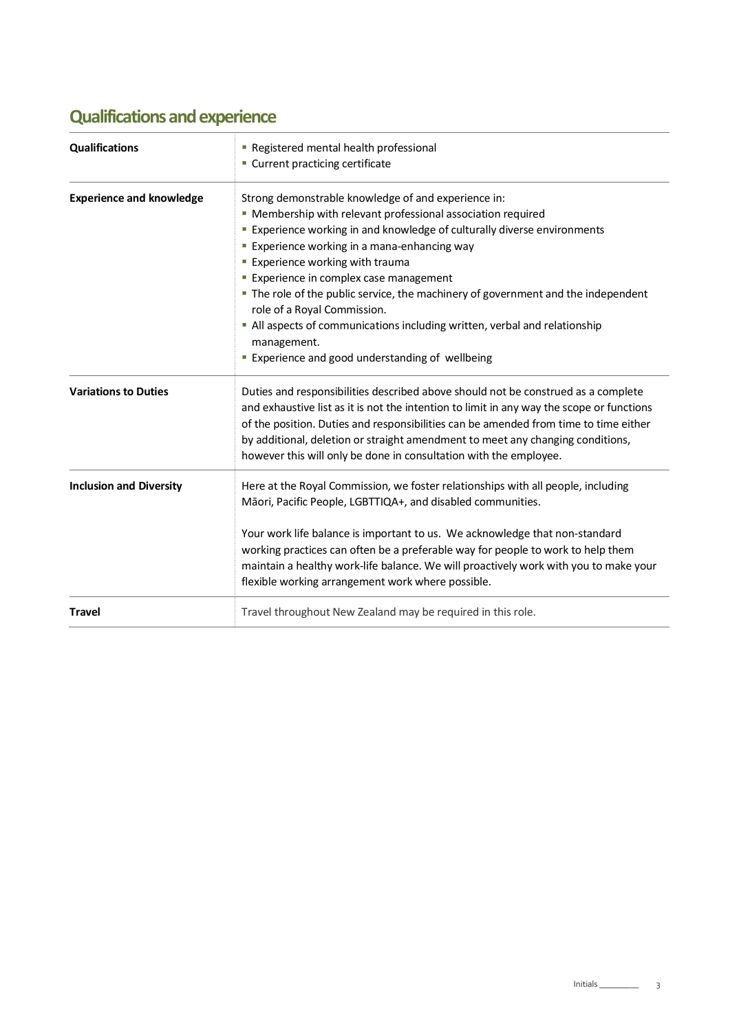### **Qualifications and experience**

| <b>Qualifications</b>           | Registered mental health professional<br>• Current practicing certificate                                                                                                                                                                                                                                                                                                                                                                                                                                                                                                                                                    |  |  |  |
|---------------------------------|------------------------------------------------------------------------------------------------------------------------------------------------------------------------------------------------------------------------------------------------------------------------------------------------------------------------------------------------------------------------------------------------------------------------------------------------------------------------------------------------------------------------------------------------------------------------------------------------------------------------------|--|--|--|
| <b>Experience and knowledge</b> | Strong demonstrable knowledge of and experience in:<br>• Membership with relevant professional association required<br><b>Experience working in and knowledge of culturally diverse environments</b><br><b>Experience working in a mana-enhancing way</b><br><b>Experience working with trauma</b><br><b>Experience in complex case management</b><br>. The role of the public service, the machinery of government and the independent<br>role of a Royal Commission.<br>• All aspects of communications including written, verbal and relationship<br>management.<br><b>Experience and good understanding of wellbeing</b> |  |  |  |
| <b>Variations to Duties</b>     | Duties and responsibilities described above should not be construed as a complete<br>and exhaustive list as it is not the intention to limit in any way the scope or functions<br>of the position. Duties and responsibilities can be amended from time to time either<br>by additional, deletion or straight amendment to meet any changing conditions,<br>however this will only be done in consultation with the employee.                                                                                                                                                                                                |  |  |  |
| <b>Inclusion and Diversity</b>  | Here at the Royal Commission, we foster relationships with all people, including<br>Māori, Pacific People, LGBTTIQA+, and disabled communities.<br>Your work life balance is important to us. We acknowledge that non-standard<br>working practices can often be a preferable way for people to work to help them<br>maintain a healthy work-life balance. We will proactively work with you to make your<br>flexible working arrangement work where possible.                                                                                                                                                               |  |  |  |
| <b>Travel</b>                   | Travel throughout New Zealand may be required in this role.                                                                                                                                                                                                                                                                                                                                                                                                                                                                                                                                                                  |  |  |  |